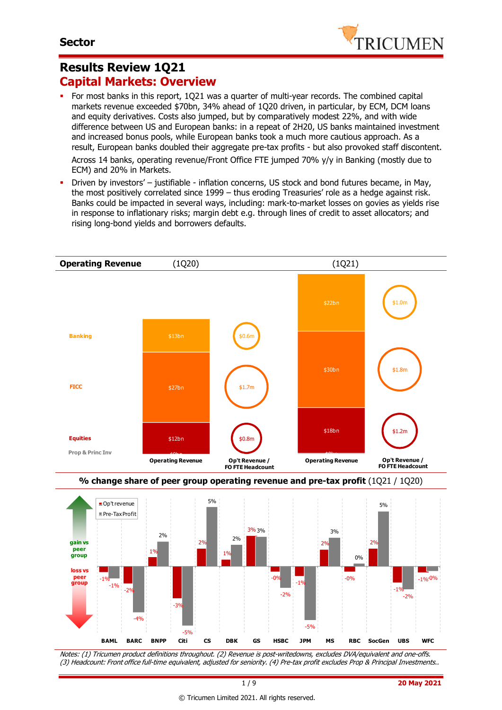

### **Results Review 1Q21 Capital Markets: Overview**

 For most banks in this report, 1Q21 was a quarter of multi-year records. The combined capital markets revenue exceeded \$70bn, 34% ahead of 1Q20 driven, in particular, by ECM, DCM loans and equity derivatives. Costs also jumped, but by comparatively modest 22%, and with wide difference between US and European banks: in a repeat of 2H20, US banks maintained investment and increased bonus pools, while European banks took a much more cautious approach. As a result, European banks doubled their aggregate pre-tax profits - but also provoked staff discontent.

Across 14 banks, operating revenue/Front Office FTE jumped 70% y/y in Banking (mostly due to ECM) and 20% in Markets.

 Driven by investors' – justifiable - inflation concerns, US stock and bond futures became, in May, the most positively correlated since 1999 – thus eroding Treasuries' role as a hedge against risk. Banks could be impacted in several ways, including: mark-to-market losses on govies as yields rise in response to inflationary risks; margin debt e.g. through lines of credit to asset allocators; and rising long-bond yields and borrowers defaults.







Notes: (1) Tricumen product definitions throughout. (2) Revenue is post-writedowns, excludes DVA/equivalent and one-offs. (3) Headcount: Front office full-time equivalent, adjusted for seniority. (4) Pre-tax profit excludes Prop & Principal Investments..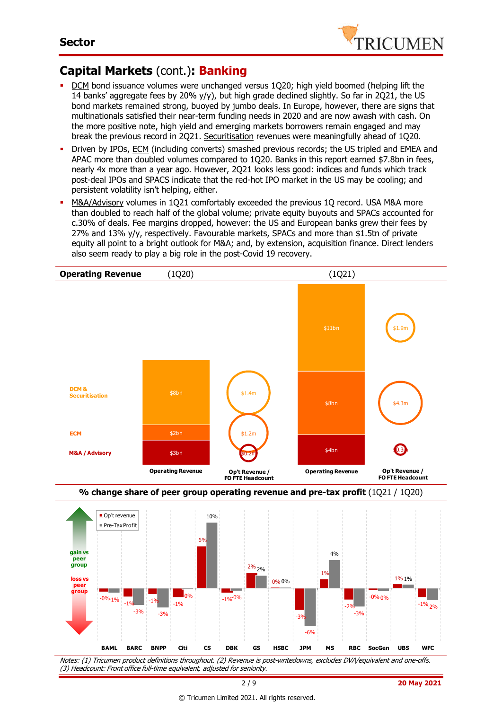

# **Capital Markets** (cont.)**: Banking**

 $-0\%$  1%  $-1\%$   $-1\%$   $-1\%$ 

-3% -3%

-0%

- DCM bond issuance volumes were unchanged versus 1Q20; high yield boomed (helping lift the 14 banks' aggregate fees by 20% y/y), but high grade declined slightly. So far in 2Q21, the US bond markets remained strong, buoyed by jumbo deals. In Europe, however, there are signs that multinationals satisfied their near-term funding needs in 2020 and are now awash with cash. On the more positive note, high yield and emerging markets borrowers remain engaged and may break the previous record in 2Q21. Securitisation revenues were meaningfully ahead of 1Q20.
- Driven by IPOs, ECM (including converts) smashed previous records; the US tripled and EMEA and APAC more than doubled volumes compared to 1Q20. Banks in this report earned \$7.8bn in fees, nearly 4x more than a year ago. However, 2Q21 looks less good: indices and funds which track post-deal IPOs and SPACS indicate that the red-hot IPO market in the US may be cooling; and persistent volatility isn't helping, either.
- M&A/Advisory volumes in 1Q21 comfortably exceeded the previous 1Q record. USA M&A more than doubled to reach half of the global volume; private equity buyouts and SPACs accounted for c.30% of deals. Fee margins dropped, however: the US and European banks grew their fees by 27% and 13% y/y, respectively. Favourable markets, SPACs and more than \$1.5tn of private equity all point to a bright outlook for M&A; and, by extension, acquisition finance. Direct lenders also seem ready to play a big role in the post-Covid 19 recovery.



Notes: (1) Tricumen product definitions throughout. (2) Revenue is post-writedowns, excludes DVA/equivalent and one-offs. (3) Headcount: Front office full-time equivalent, adjusted for seniority. **BAML BARC BNPP Citi CS DBK GS HSBC JPM MS RBC SocGen UBS WFC**

-1% -1%

-3%

-6%

-2%

-3%

-0% -0%

 $-1\%$ <sup>-0%</sup>

 $-1\%$ <sub>2%</sub>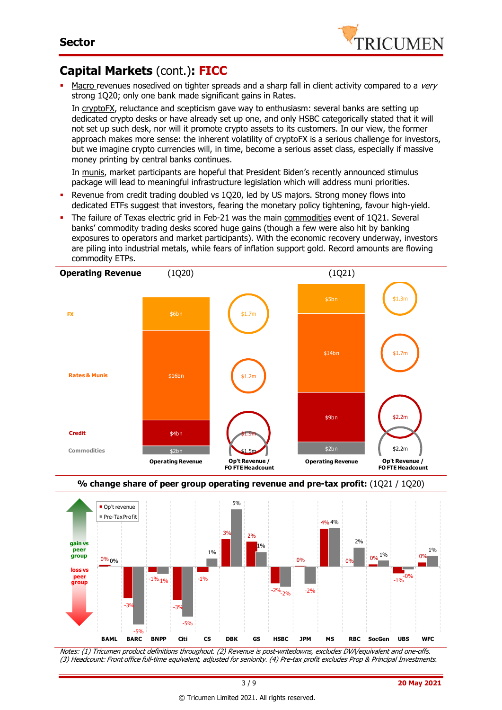

# **Capital Markets** (cont.)**: FICC**

Macro revenues nosedived on tighter spreads and a sharp fall in client activity compared to a very strong 1Q20; only one bank made significant gains in Rates.

In cryptoFX, reluctance and scepticism gave way to enthusiasm: several banks are setting up dedicated crypto desks or have already set up one, and only HSBC categorically stated that it will not set up such desk, nor will it promote crypto assets to its customers. In our view, the former approach makes more sense: the inherent volatility of cryptoFX is a serious challenge for investors, but we imagine crypto currencies will, in time, become a serious asset class, especially if massive money printing by central banks continues.

In munis, market participants are hopeful that President Biden's recently announced stimulus package will lead to meaningful infrastructure legislation which will address muni priorities.

- Revenue from credit trading doubled vs 1Q20, led by US majors. Strong money flows into dedicated ETFs suggest that investors, fearing the monetary policy tightening, favour high-yield.
- The failure of Texas electric grid in Feb-21 was the main commodities event of 1Q21. Several banks' commodity trading desks scored huge gains (though a few were also hit by banking exposures to operators and market participants). With the economic recovery underway, investors are piling into industrial metals, while fears of inflation support gold. Record amounts are flowing commodity ETPs.







Notes: (1) Tricumen product definitions throughout. (2) Revenue is post-writedowns, excludes DVA/equivalent and one-offs. (3) Headcount: Front office full-time equivalent, adjusted for seniority. (4) Pre-tax profit excludes Prop & Principal Investments.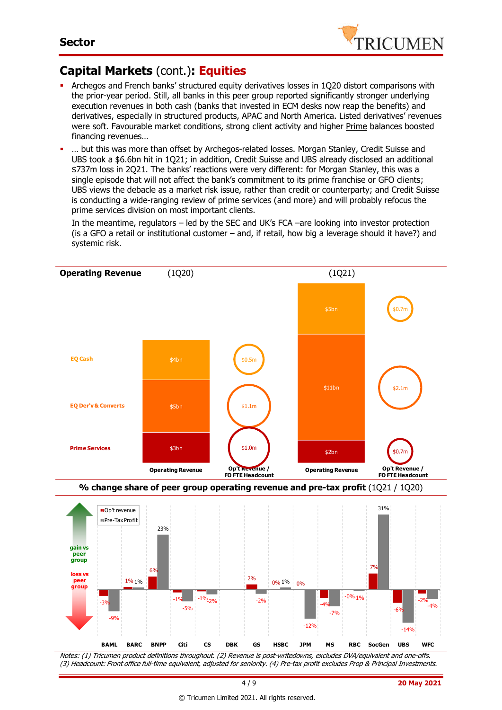

# **Capital Markets** (cont.)**: Equities**

- Archegos and French banks' structured equity derivatives losses in 1Q20 distort comparisons with the prior-year period. Still, all banks in this peer group reported significantly stronger underlying execution revenues in both cash (banks that invested in ECM desks now reap the benefits) and derivatives, especially in structured products, APAC and North America. Listed derivatives' revenues were soft. Favourable market conditions, strong client activity and higher Prime balances boosted financing revenues…
- … but this was more than offset by Archegos-related losses. Morgan Stanley, Credit Suisse and UBS took a \$6.6bn hit in 1Q21; in addition, Credit Suisse and UBS already disclosed an additional \$737m loss in 2Q21. The banks' reactions were very different: for Morgan Stanley, this was a single episode that will not affect the bank's commitment to its prime franchise or GFO clients; UBS views the debacle as a market risk issue, rather than credit or counterparty; and Credit Suisse is conducting a wide-ranging review of prime services (and more) and will probably refocus the prime services division on most important clients.

In the meantime, regulators – led by the SEC and UK's FCA –are looking into investor protection (is a GFO a retail or institutional customer – and, if retail, how big a leverage should it have?) and systemic risk.



Notes: (1) Tricumen product definitions throughout. (2) Revenue is post-writedowns, excludes DVA/equivalent and one-offs. (3) Headcount: Front office full-time equivalent, adjusted for seniority. (4) Pre-tax profit excludes Prop & Principal Investments.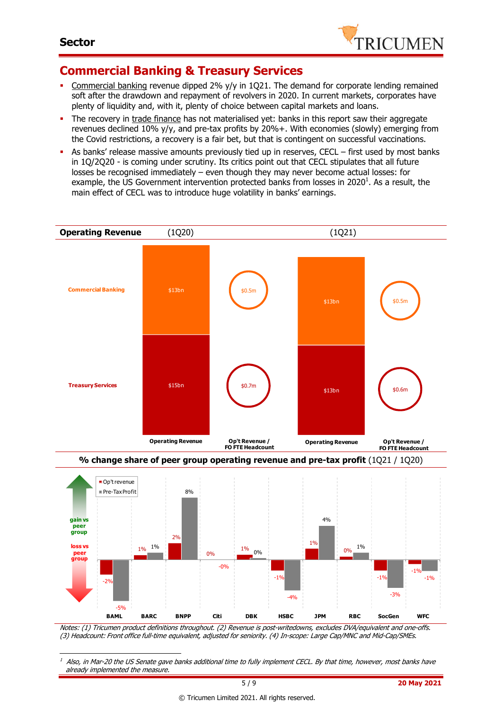-



### **Commercial Banking & Treasury Services**

- Commercial banking revenue dipped 2% y/y in 1Q21. The demand for corporate lending remained soft after the drawdown and repayment of revolvers in 2020. In current markets, corporates have plenty of liquidity and, with it, plenty of choice between capital markets and loans.
- The recovery in trade finance has not materialised yet: banks in this report saw their aggregate revenues declined 10% y/y, and pre-tax profits by 20%+. With economies (slowly) emerging from the Covid restrictions, a recovery is a fair bet, but that is contingent on successful vaccinations.
- As banks' release massive amounts previously tied up in reserves, CECL first used by most banks in 1Q/2Q20 - is coming under scrutiny. Its critics point out that CECL stipulates that all future losses be recognised immediately – even though they may never become actual losses: for example, the US Government intervention protected banks from losses in 2020<sup>1</sup>. As a result, the main effect of CECL was to introduce huge volatility in banks' earnings.



**% change share of peer group operating revenue and pre-tax profit** (1Q21 / 1Q20)



Notes: (1) Tricumen product definitions throughout. (2) Revenue is post-writedowns, excludes DVA/equivalent and one-offs. (3) Headcount: Front office full-time equivalent, adjusted for seniority. (4) In-scope: Large Cap/MNC and Mid-Cap/SMEs.

Also, in Mar-20 the US Senate gave banks additional time to fully implement CECL. By that time, however, most banks have already implemented the measure.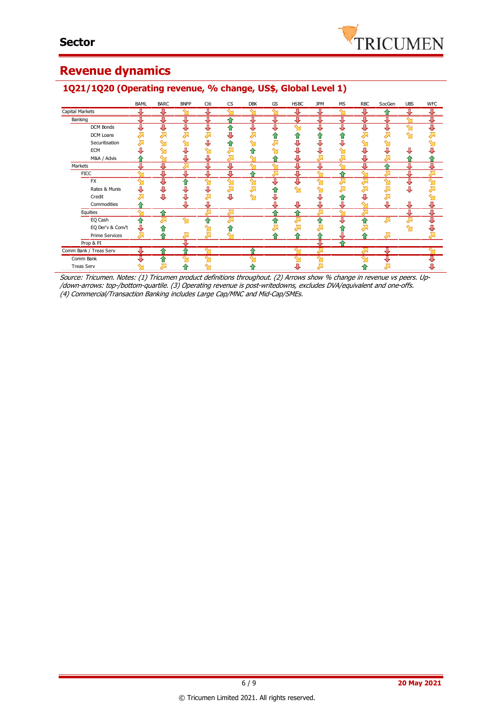

# **Revenue dynamics**

### BAML BARC BNPP Citi CS DBK GS HSBC JPM MS RBC SocGen UBS WFC Capital Markets  $\overline{\textbf{J}}$  $\overline{v}$ л л л 4 Л **Banking** ♦ ⊕ ⇧ ⇩ ⊕ ⊕ ⊕ ♦ ⇩ ⇩ ⇩ ∾ J DCM Bonds ⇩ ⇩ ⇩ л 毋 ⇩ ⇩ ⇧ л  $\bf \bar{\bf \Omega}$ DCM Loans Ä Ā Ă  $\overline{\lambda}$ J Ă ě 合  $\ddot{\textbf{r}}$  $\ddot{\textbf{r}}$ Ă į. Securitisation  $\overline{\lambda}$ ⇧ ⇩  $\sum$  $\hat{\mathbf{y}}$ л J ∾ ⋝  $\sim$ j. ECM  $\ddot{\phantom{1}}$ U  $\sim$  $\sum$ €  $\sim$ J ⇩ J J Л л  $\sim$ M&A / Advis ♦ J л ⇧ J л **Markets** € ⇩ ₩ ⇩ ₩ **FICC** ⇧ FX<sub>1</sub> IJ 1 Rates & Munis ⊕  $\ddot{\psi}$ J ⊽ ⊼  $\bar{\bar{z}}$ ė Ò,  $\mathbf{\hat{z}}$  $\hat{\mathbf{r}}$  $\overline{\mathcal{L}}$ Σ Credit J. Ò, j, J J j.  $\overline{\lambda}$ 风  $\hat{\mathbf{r}}$ € Д Commodities  $\hat{\mathbb{1}}$ J ⇩ J J J Л **Equities**  $\overline{\mathbf{r}}$ î EQ Cash ⋒ ⅋ 夲 ᢙ Ѫ 쥬 2, λ EQ Der'v & Conv't J  $\ddot{\bullet}$ 春  $\overline{\mathcal{L}}$ ♦  $\mathbf{\hat{y}}$ ₩ ↗  $\sum$ Prime Services Σ ⊼ 企 ⇑ ⇑ ⇑ Д 1 Prop & PI π 1 Comm Bank / Treas Serv ⇑ ↑ ⇑ Comm Bank ⇑ J Treas Serv⇑ ⇑ ⇑ ∑ л

### **1Q21/1Q20 (Operating revenue, % change, US\$, Global Level 1)**

Source: Tricumen. Notes: (1) Tricumen product definitions throughout. (2) Arrows show % change in revenue vs peers. Up- /down-arrows: top-/bottom-quartile. (3) Operating revenue is post-writedowns, excludes DVA/equivalent and one-offs. (4) Commercial/Transaction Banking includes Large Cap/MNC and Mid-Cap/SMEs.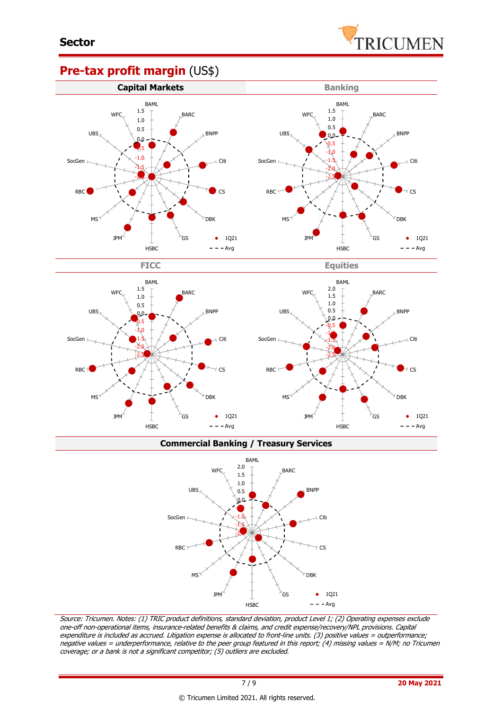

### **Pre-tax profit margin** (US\$)





**Commercial Banking / Treasury Services**



Source: Tricumen. Notes: (1) TRIC product definitions, standard deviation, product Level 1; (2) Operating expenses exclude one-off non-operational items, insurance-related benefits & claims, and credit expense/recovery/NPL provisions. Capital expenditure is included as accrued. Litigation expense is allocated to front-line units. (3) positive values = outperformance; negative values = underperformance, relative to the peer group featured in this report; (4) missing values = N/M; no Tricumen coverage; or a bank is not a significant competitor; (5) outliers are excluded.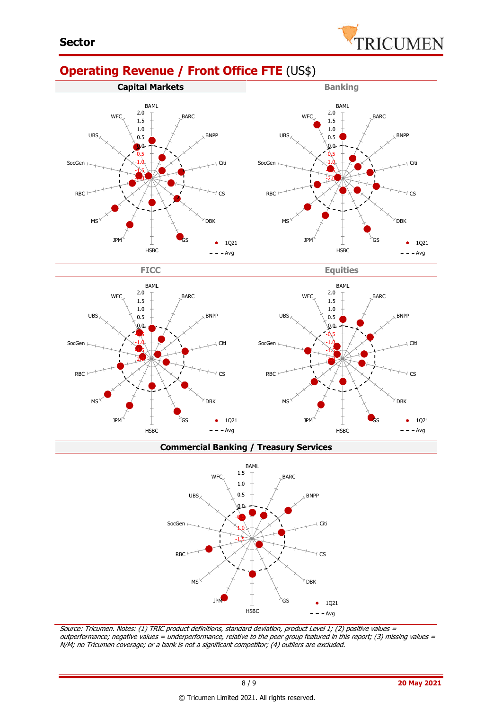# **Operating Revenue / Front Office FTE** (US\$)







**Commercial Banking / Treasury Services**



Source: Tricumen. Notes: (1) TRIC product definitions, standard deviation, product Level 1; (2) positive values <sup>=</sup> outperformance; negative values = underperformance, relative to the peer group featured in this report; (3) missing values = N/M; no Tricumen coverage; or a bank is not a significant competitor; (4) outliers are excluded.